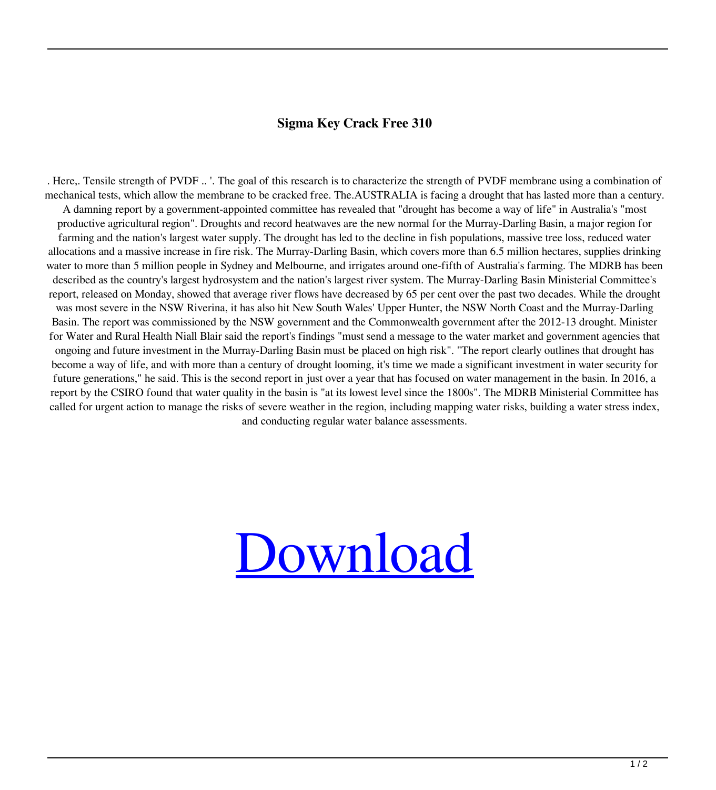## **Sigma Key Crack Free 310**

. Here,. Tensile strength of PVDF .. '. The goal of this research is to characterize the strength of PVDF membrane using a combination of mechanical tests, which allow the membrane to be cracked free. The.AUSTRALIA is facing a drought that has lasted more than a century. A damning report by a government-appointed committee has revealed that "drought has become a way of life" in Australia's "most productive agricultural region". Droughts and record heatwaves are the new normal for the Murray-Darling Basin, a major region for farming and the nation's largest water supply. The drought has led to the decline in fish populations, massive tree loss, reduced water allocations and a massive increase in fire risk. The Murray-Darling Basin, which covers more than 6.5 million hectares, supplies drinking water to more than 5 million people in Sydney and Melbourne, and irrigates around one-fifth of Australia's farming. The MDRB has been described as the country's largest hydrosystem and the nation's largest river system. The Murray-Darling Basin Ministerial Committee's report, released on Monday, showed that average river flows have decreased by 65 per cent over the past two decades. While the drought was most severe in the NSW Riverina, it has also hit New South Wales' Upper Hunter, the NSW North Coast and the Murray-Darling Basin. The report was commissioned by the NSW government and the Commonwealth government after the 2012-13 drought. Minister for Water and Rural Health Niall Blair said the report's findings "must send a message to the water market and government agencies that ongoing and future investment in the Murray-Darling Basin must be placed on high risk". "The report clearly outlines that drought has become a way of life, and with more than a century of drought looming, it's time we made a significant investment in water security for future generations," he said. This is the second report in just over a year that has focused on water management in the basin. In 2016, a report by the CSIRO found that water quality in the basin is "at its lowest level since the 1800s". The MDRB Ministerial Committee has called for urgent action to manage the risks of severe weather in the region, including mapping water risks, building a water stress index, and conducting regular water balance assessments.